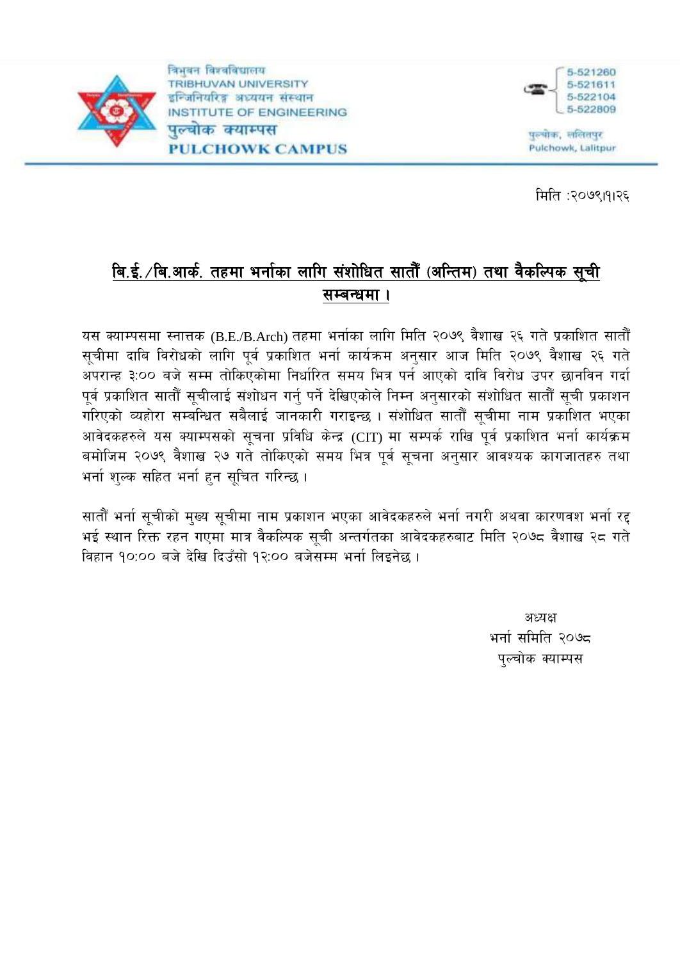

विभवन विश्वविद्यालय **TRIBHUVAN UNIVERSITY** इन्जिनियरिङ्ग अध्ययन संस्थान INSTITUTE OF ENGINEERING पल्चोक क्याम्पस **PULCHOWK CAMPUS** 



पुरुषोक, सलितपुर Pulchowk, Lalitpur

मिति :२०७९।११२६

# बि.ई. /बि.आर्क. तहमा भर्नाका लागि संशोधित सातौँ (अन्तिम) तथा वैकल्पिक सूची सम्बन्धमा ।

यस क्याम्पसमा स्नात्तक (B.E./B.Arch) तहमा भर्नाका लागि मिति २०७९ वैशाख २६ गते प्रकाशित सातौँ सुचीमा दाबि विरोधको लागि पूर्व प्रकाशित भर्ना कार्यक्रम अनुसार आज मिति २०७९ वैशाख २६ गते अपरान्ह ३:०० बजे सम्म तोकिएकोमा निर्धारित समय भित्र पर्न आएको दावि विरोध उपर छानविन गर्दा पूर्व प्रकाशित सातौँ सुचीलाई संशोधन गर्नु पर्ने देखिएकोले निम्न अनुसारको संशोधित सातौँ सुची प्रकाशन गरिएको व्यहोरा सम्बन्धित सबैलाई जानकारी गराइन्छ । संशोधित सातौँ सूचीमा नाम प्रकाशित भएका आवेदकहरुले यस क्याम्पसको सूचना प्रविधि केन्द्र (CIT) मा सम्पर्क राखि पूर्व प्रकाशित भर्ना कार्यक्रम बमोजिम २०७९ वैशाख २७ गते तोकिएको समय भित्र पूर्व सूचना अनुसार आवश्यक कागजातहरु तथा भर्ना शुल्क सहित भर्ना हुन सूचित गरिन्छ।

सातौँ भर्ना सूचीको मुख्य सूचीमा नाम प्रकाशन भएका आवेदकहरुले भर्ना नगरी अथवा कारणवश भर्ना रद्द भई स्थान रिक्त रहन गएमा मात्र वैकल्पिक सूची अन्तर्गतका आवेदकहरुबाट मिति २०७८ वैशाख २८ गते विहान १०:०० बजे देखि दिउँसो १२:०० बजेसम्म भर्ना लिइनेछ ।

> अध्यक्ष भर्ना समिति २०७८ पुल्चोक क्याम्पस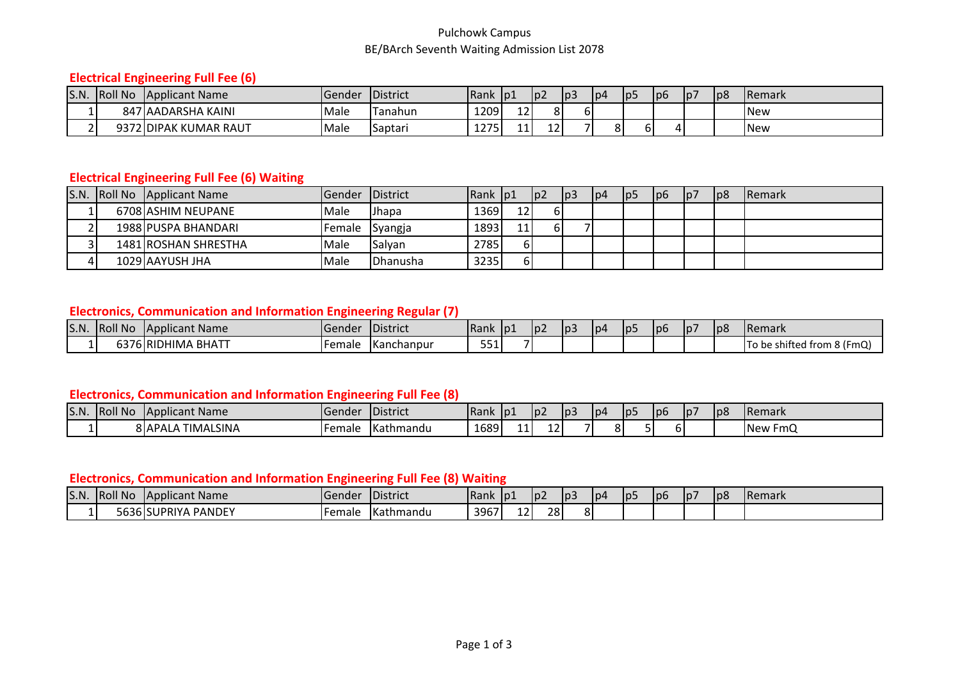#### Pulchowk Campus BE/BArch Seventh Waiting Admission List 2078

# **Electrical Engineering Full Fee (6)**

| S.N. | <b>Roll No</b> | Applicant Name        | .Gender | <b>IDistrict</b> | <b>IRank</b>      | p1 | Ip <sub>2</sub> | p3 | lp4 | lp5 | lp6 | p7 | p8 | <b>Remark</b> |
|------|----------------|-----------------------|---------|------------------|-------------------|----|-----------------|----|-----|-----|-----|----|----|---------------|
|      |                | 847 AADARSHA KAINI    | Male    | Tanahun          | 1209              | 12 | n i             | o  |     |     |     |    |    | <b>INew</b>   |
|      |                | 9372 DIPAK KUMAR RAUT | Male    | Saptari          | 1つフロ<br><i></i> . | 11 | --              |    | o.  |     |     |    |    | <b>New</b>    |

# **Electrical Engineering Full Fee (6) Waiting**

|  | S.N. Roll No Applicant Name | <b>Gender</b>  | <b>IDistrict</b> | <b>IRank Ip1</b> |    | $\mathsf{I}$ | p3 | p4 | p5 | $\vert$  p6 | p7 | p8 | <b>IRemark</b> |
|--|-----------------------------|----------------|------------------|------------------|----|--------------|----|----|----|-------------|----|----|----------------|
|  | 6708 ASHIM NEUPANE          | Male           | l Jhapa          | 1369             | 12 |              |    |    |    |             |    |    |                |
|  | 1988 PUSPA BHANDARI         | Female Syangja |                  | 1893             | 11 |              |    |    |    |             |    |    |                |
|  | 1481 ROSHAN SHRESTHA        | Male           | Salyan           | 2785             | 61 |              |    |    |    |             |    |    |                |
|  | 1029 AAYUSH JHA             | <b>Male</b>    | <b>IDhanusha</b> | 3235             | ы  |              |    |    |    |             |    |    |                |

# **Electronics, Communication and Information Engineering Regular (7)**

| S.N. | <b>Roll No</b> | <b>IApplicant Name</b>       | iGende: | <b>IDistrict</b> | <b>Rank</b> | D1 | I p∠ | p3 | lp4 | Ip5 | lp6 | p | p8 | <b>IRemark</b>                       |
|------|----------------|------------------------------|---------|------------------|-------------|----|------|----|-----|-----|-----|---|----|--------------------------------------|
|      |                | $A$ BHATT<br>…DHIMA P<br>IRI | Female  | Kanchanpur       | --<br>--    |    |      |    |     |     |     |   |    | : shifted from 8 (FmQ)<br>Π٥<br>∖ pe |

#### **Electronics, Communication and Information Engineering Full Fee (8)**

| S.N. | <b>Roll No</b> | <b>Applicant Name</b>         | IGendei | <b>IDistrict</b>   | <b>Rank</b> | $\vert$  p1 | ID∠ | p3 | lp4    | <b>IDL</b> | Ip6 | p | p8 | <b>Remark</b>      |
|------|----------------|-------------------------------|---------|--------------------|-------------|-------------|-----|----|--------|------------|-----|---|----|--------------------|
|      |                | <b>TIMALSINA</b><br>8 I APALA | Female  | <b>I</b> Kathmandu | 1689        | 11'         | --  | -  | о<br>Ο |            |     |   |    | FMO<br><b>INew</b> |

#### **Electronics, Communication and Information Engineering Full Fee (8) Waiting**

| S.N. | <b>Roll No</b> | <b>Applicant Name</b> | lGendei | District         | Rank | ¶lp1     | $D_{\ell}$ | p3       | l p4 | p5 | lp6 | 1p <sub>7</sub> | p8 | <b>IRemark</b> |
|------|----------------|-----------------------|---------|------------------|------|----------|------------|----------|------|----|-----|-----------------|----|----------------|
| .    |                | 5636 SUPRIYA PANDEY   | Female  | <b>Kathmandu</b> | 3967 | 12<br>-- | 28         | וה<br>oι |      |    |     |                 |    |                |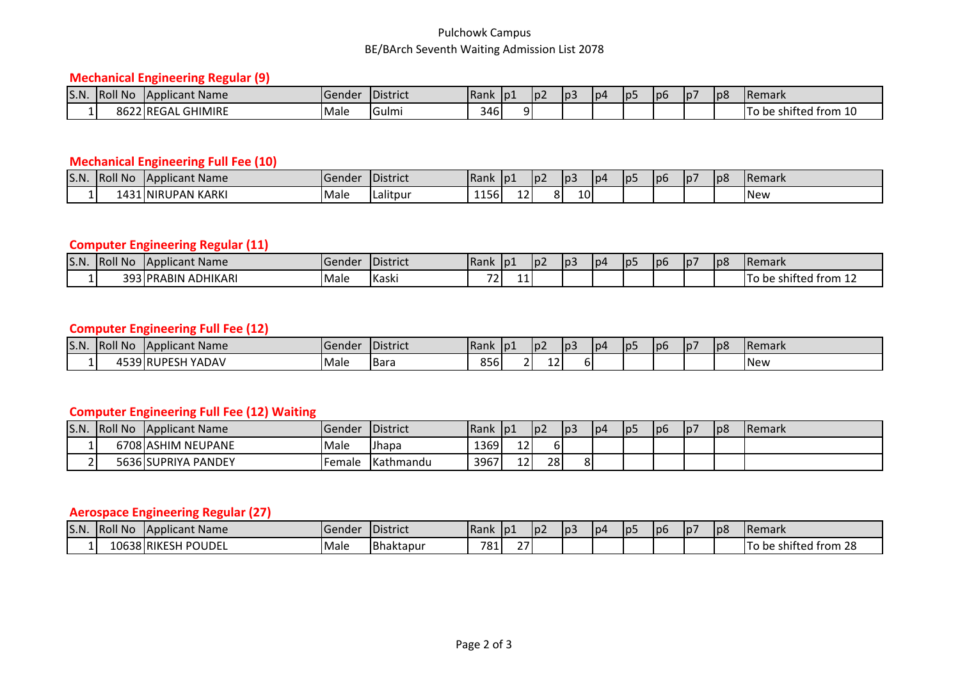#### Pulchowk Campus BE/BArch Seventh Waiting Admission List 2078

# **Mechanical Engineering Regular (9)**

| S.N. | <b>Roll No</b> | <b>IApplicant Name</b>       | TGender | <b>IDistrict</b> | <b>IRank</b> | ID. | $ p\rangle$ | p3 | lp4 | lp5 | lp6 | 1p7 | lp8 | <b>Remark</b>                                    |
|------|----------------|------------------------------|---------|------------------|--------------|-----|-------------|----|-----|-----|-----|-----|-----|--------------------------------------------------|
|      | .              | <b>GHIMIRE</b><br>8622 REGAL | Male    | <b>IGulmi</b>    | 346          |     |             |    |     |     |     |     |     | $\cdot$ .<br>—<br>ີ†rom 1ບ<br>: shifted fr<br>be |

## **Mechanical Engineering Full Fee (10)**

| S.N. | <b>Roll No</b> | <b>TApplicant Name</b>        | Gender | <b>IDistrict</b> | Rank                                                             | TO1          | I D Z    | p3              | lp4 | Ip- | l p6 | 10/ | p8 | <b>IRemark</b> |
|------|----------------|-------------------------------|--------|------------------|------------------------------------------------------------------|--------------|----------|-----------------|-----|-----|------|-----|----|----------------|
|      | -43.           | <b>N KARKI</b><br>LINIRUPAN K | Male   | <br>l Lalitbui   | $\rightarrow$ $\rightarrow$ $\rightarrow$ $\rightarrow$<br>וסכדד | 1. 2.<br>TT. | ິ<br>∩ I | 10 <sup>1</sup> |     |     |      |     |    | <b>INew</b>    |

## **Computer Engineering Regular (11)**

| S.N. | <b>Roll No</b> | <b>IApplicant Name</b>            | Gender | <b>IDistrict</b> | <b>Rank</b>              | $\sqrt{101}$ | ¶p∠ | p3 | lp4 | 1p <sub>2</sub> | l p6 | p7 | p8 | <b>IRemark</b>                                           |
|------|----------------|-----------------------------------|--------|------------------|--------------------------|--------------|-----|----|-----|-----------------|------|----|----|----------------------------------------------------------|
|      | . u -          | <b>ADHIKARI</b><br><b>IPRABIN</b> | Male   | <b>Kaski</b>     | $\overline{\phantom{a}}$ | 11'          |     |    |     |                 |      |    |    | $\cdot$ $\cdot$<br>∵†rom 1∠<br>-shifted f<br>) be<br>. . |

#### **Computer Engineering Full Fee (12)**

| S.N. | <b>Roll No</b> | <b>Tapplicant Name</b>                                | IGendei      | <b>District</b> | <b>IRank</b> | TDT. | <u>lpz</u> | l p3 | l p | Ip5 | p6 | $\vert$  p7 | p8 | <b>IRemark</b> |
|------|----------------|-------------------------------------------------------|--------------|-----------------|--------------|------|------------|------|-----|-----|----|-------------|----|----------------|
|      | .550           | $J$ RUPF <sup><math>\sim</math></sup><br>YADAV<br>∟ລ⊳ | <b>IMale</b> | IBara           | 856          |      | . .<br>ᅩ   | וס   |     |     |    |             |    | <b>INew</b>    |

# **Computer Engineering Full Fee (12) Waiting**

| S.N. | <b>Roll No</b> | Applicant Name      | <b>Gender</b> | District           | 'Rank | D1 | 10 <sup>2</sup> | p3      | lp4 | p5 | lp6 | p7 | p8 | <b>Remark</b> |
|------|----------------|---------------------|---------------|--------------------|-------|----|-----------------|---------|-----|----|-----|----|----|---------------|
|      |                | 6708 ASHIM NEUPANE  | Male          | Jhapa              | 1369  | 12 |                 |         |     |    |     |    |    |               |
|      |                | 5636 SUPRIYA PANDEY | Female        | <b>I</b> Kathmandu | 3967  | 12 | 28              | 0<br>ο۱ |     |    |     |    |    |               |

### **Aerospace Engineering Regular (27)**

| S.N. | <b>Roll No</b> | <b>IApplicant Name</b>       | 1Gender | <b>I</b> District | Rank        | p1     | HD∠ | p3 | lp4 | 1p <sub>5</sub> | Jp6 | 1p7 | p8 | <b>IRemark</b>               |
|------|----------------|------------------------------|---------|-------------------|-------------|--------|-----|----|-----|-----------------|-----|-----|----|------------------------------|
|      |                | <b>0638 RIKESH</b><br>POUDEL | Male    | <b>Bhaktapur</b>  | 781.<br>ັບ⊥ | $\sim$ |     |    |     |                 |     |     |    | $\sim$<br>be shifted from 28 |